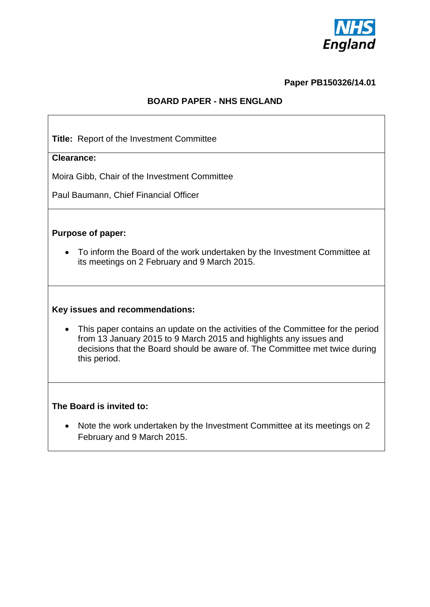

### **Paper PB150326/14.01**

## **BOARD PAPER - NHS ENGLAND**

**Title:** Report of the Investment Committee

### **Clearance:**

Moira Gibb, Chair of the Investment Committee

Paul Baumann, Chief Financial Officer

### **Purpose of paper:**

 To inform the Board of the work undertaken by the Investment Committee at its meetings on 2 February and 9 March 2015.

#### **Key issues and recommendations:**

 This paper contains an update on the activities of the Committee for the period from 13 January 2015 to 9 March 2015 and highlights any issues and decisions that the Board should be aware of. The Committee met twice during this period.

### **The Board is invited to:**

• Note the work undertaken by the Investment Committee at its meetings on 2 February and 9 March 2015.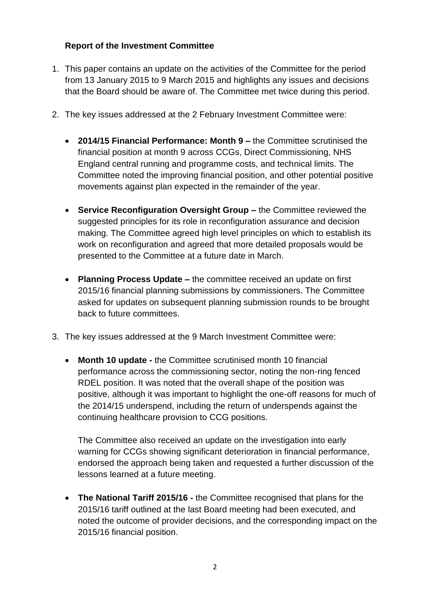# **Report of the Investment Committee**

- 1. This paper contains an update on the activities of the Committee for the period from 13 January 2015 to 9 March 2015 and highlights any issues and decisions that the Board should be aware of. The Committee met twice during this period.
- 2. The key issues addressed at the 2 February Investment Committee were:
	- **2014/15 Financial Performance: Month 9 –** the Committee scrutinised the financial position at month 9 across CCGs, Direct Commissioning, NHS England central running and programme costs, and technical limits. The Committee noted the improving financial position, and other potential positive movements against plan expected in the remainder of the year.
	- **Service Reconfiguration Oversight Group –** the Committee reviewed the suggested principles for its role in reconfiguration assurance and decision making. The Committee agreed high level principles on which to establish its work on reconfiguration and agreed that more detailed proposals would be presented to the Committee at a future date in March.
	- **Planning Process Update –** the committee received an update on first 2015/16 financial planning submissions by commissioners. The Committee asked for updates on subsequent planning submission rounds to be brought back to future committees.
- 3. The key issues addressed at the 9 March Investment Committee were:
	- **Month 10 update -** the Committee scrutinised month 10 financial performance across the commissioning sector, noting the non-ring fenced RDEL position. It was noted that the overall shape of the position was positive, although it was important to highlight the one-off reasons for much of the 2014/15 underspend, including the return of underspends against the continuing healthcare provision to CCG positions.

The Committee also received an update on the investigation into early warning for CCGs showing significant deterioration in financial performance, endorsed the approach being taken and requested a further discussion of the lessons learned at a future meeting.

 **The National Tariff 2015/16 -** the Committee recognised that plans for the 2015/16 tariff outlined at the last Board meeting had been executed, and noted the outcome of provider decisions, and the corresponding impact on the 2015/16 financial position.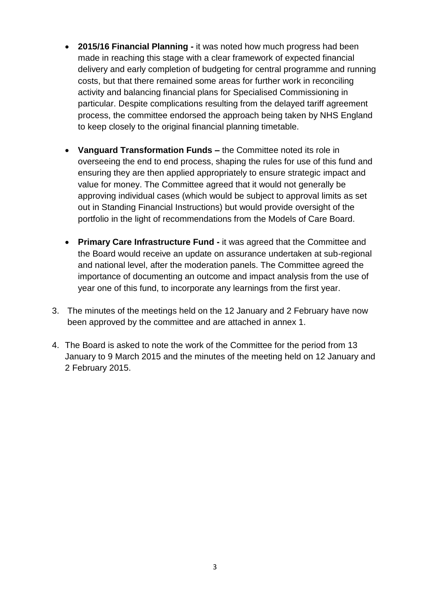- **2015/16 Financial Planning -** it was noted how much progress had been made in reaching this stage with a clear framework of expected financial delivery and early completion of budgeting for central programme and running costs, but that there remained some areas for further work in reconciling activity and balancing financial plans for Specialised Commissioning in particular. Despite complications resulting from the delayed tariff agreement process, the committee endorsed the approach being taken by NHS England to keep closely to the original financial planning timetable.
- **Vanguard Transformation Funds –** the Committee noted its role in overseeing the end to end process, shaping the rules for use of this fund and ensuring they are then applied appropriately to ensure strategic impact and value for money. The Committee agreed that it would not generally be approving individual cases (which would be subject to approval limits as set out in Standing Financial Instructions) but would provide oversight of the portfolio in the light of recommendations from the Models of Care Board.
- **Primary Care Infrastructure Fund -** it was agreed that the Committee and the Board would receive an update on assurance undertaken at sub-regional and national level, after the moderation panels. The Committee agreed the importance of documenting an outcome and impact analysis from the use of year one of this fund, to incorporate any learnings from the first year.
- 3. The minutes of the meetings held on the 12 January and 2 February have now been approved by the committee and are attached in annex 1.
- 4. The Board is asked to note the work of the Committee for the period from 13 January to 9 March 2015 and the minutes of the meeting held on 12 January and 2 February 2015.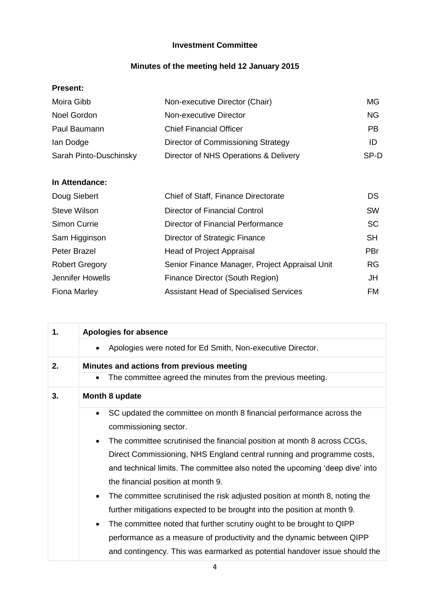# **Investment Committee**

# **Minutes of the meeting held 12 January 2015**

### **Present:**

| Moira Gibb             | Non-executive Director (Chair)        | MG.       |
|------------------------|---------------------------------------|-----------|
| Noel Gordon            | Non-executive Director                | NG.       |
| Paul Baumann           | <b>Chief Financial Officer</b>        | <b>PB</b> |
| lan Dodge              | Director of Commissioning Strategy    | ID        |
| Sarah Pinto-Duschinsky | Director of NHS Operations & Delivery | SP-D      |

## **In Attendance:**

| Doug Siebert          | Chief of Staff, Finance Directorate            | DS.        |
|-----------------------|------------------------------------------------|------------|
| <b>Steve Wilson</b>   | <b>Director of Financial Control</b>           | <b>SW</b>  |
| Simon Currie          | Director of Financial Performance              | <b>SC</b>  |
| Sam Higginson         | Director of Strategic Finance                  | <b>SH</b>  |
| Peter Brazel          | <b>Head of Project Appraisal</b>               | <b>PBr</b> |
| <b>Robert Gregory</b> | Senior Finance Manager, Project Appraisal Unit | <b>RG</b>  |
| Jennifer Howells      | Finance Director (South Region)                | JH         |
| Fiona Marley          | <b>Assistant Head of Specialised Services</b>  | FM.        |

| 1. | <b>Apologies for absence</b>                                                             |
|----|------------------------------------------------------------------------------------------|
|    | Apologies were noted for Ed Smith, Non-executive Director.                               |
| 2. | Minutes and actions from previous meeting                                                |
|    | The committee agreed the minutes from the previous meeting.                              |
| 3. | Month 8 update                                                                           |
|    | SC updated the committee on month 8 financial performance across the<br>$\bullet$        |
|    | commissioning sector.                                                                    |
|    | The committee scrutinised the financial position at month 8 across CCGs,                 |
|    | Direct Commissioning, NHS England central running and programme costs,                   |
|    | and technical limits. The committee also noted the upcoming 'deep dive' into             |
|    | the financial position at month 9.                                                       |
|    | The committee scrutinised the risk adjusted position at month 8, noting the<br>$\bullet$ |
|    | further mitigations expected to be brought into the position at month 9.                 |
|    | The committee noted that further scrutiny ought to be brought to QIPP                    |
|    | performance as a measure of productivity and the dynamic between QIPP                    |
|    | and contingency. This was earmarked as potential handover issue should the               |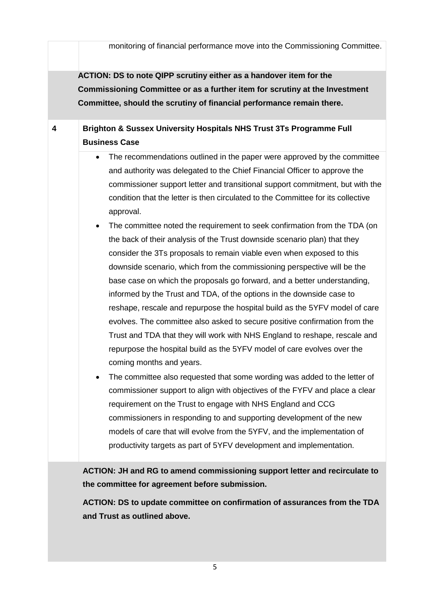|   | monitoring of financial performance move into the Commissioning Committee.                                                                                                                                                                                                                                                                                                                                                                                                                                                                                                                                                                                                                                                                                                                                                                                                                                                                                                                                                                                                                                                                                                                                                                                                                                                                                                                                                                                                                                                                                                                                                                                                                                                                   |
|---|----------------------------------------------------------------------------------------------------------------------------------------------------------------------------------------------------------------------------------------------------------------------------------------------------------------------------------------------------------------------------------------------------------------------------------------------------------------------------------------------------------------------------------------------------------------------------------------------------------------------------------------------------------------------------------------------------------------------------------------------------------------------------------------------------------------------------------------------------------------------------------------------------------------------------------------------------------------------------------------------------------------------------------------------------------------------------------------------------------------------------------------------------------------------------------------------------------------------------------------------------------------------------------------------------------------------------------------------------------------------------------------------------------------------------------------------------------------------------------------------------------------------------------------------------------------------------------------------------------------------------------------------------------------------------------------------------------------------------------------------|
|   | ACTION: DS to note QIPP scrutiny either as a handover item for the<br>Commissioning Committee or as a further item for scrutiny at the Investment<br>Committee, should the scrutiny of financial performance remain there.                                                                                                                                                                                                                                                                                                                                                                                                                                                                                                                                                                                                                                                                                                                                                                                                                                                                                                                                                                                                                                                                                                                                                                                                                                                                                                                                                                                                                                                                                                                   |
| 4 | Brighton & Sussex University Hospitals NHS Trust 3Ts Programme Full<br><b>Business Case</b><br>The recommendations outlined in the paper were approved by the committee<br>$\bullet$<br>and authority was delegated to the Chief Financial Officer to approve the<br>commissioner support letter and transitional support commitment, but with the<br>condition that the letter is then circulated to the Committee for its collective<br>approval.<br>The committee noted the requirement to seek confirmation from the TDA (on<br>$\bullet$<br>the back of their analysis of the Trust downside scenario plan) that they<br>consider the 3Ts proposals to remain viable even when exposed to this<br>downside scenario, which from the commissioning perspective will be the<br>base case on which the proposals go forward, and a better understanding,<br>informed by the Trust and TDA, of the options in the downside case to<br>reshape, rescale and repurpose the hospital build as the 5YFV model of care<br>evolves. The committee also asked to secure positive confirmation from the<br>Trust and TDA that they will work with NHS England to reshape, rescale and<br>repurpose the hospital build as the 5YFV model of care evolves over the<br>coming months and years.<br>The committee also requested that some wording was added to the letter of<br>commissioner support to align with objectives of the FYFV and place a clear<br>requirement on the Trust to engage with NHS England and CCG<br>commissioners in responding to and supporting development of the new<br>models of care that will evolve from the 5YFV, and the implementation of<br>productivity targets as part of 5YFV development and implementation. |
|   | ACTION: JH and RG to amend commissioning support letter and recirculate to<br>the committee for agreement before submission.<br>ACTION: DS to update committee on confirmation of assurances from the TDA<br>and Trust as outlined above.                                                                                                                                                                                                                                                                                                                                                                                                                                                                                                                                                                                                                                                                                                                                                                                                                                                                                                                                                                                                                                                                                                                                                                                                                                                                                                                                                                                                                                                                                                    |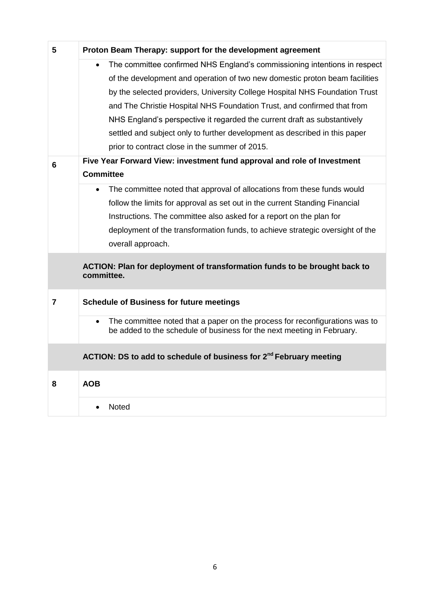| 5              | Proton Beam Therapy: support for the development agreement                                                                                                         |
|----------------|--------------------------------------------------------------------------------------------------------------------------------------------------------------------|
|                | The committee confirmed NHS England's commissioning intentions in respect<br>$\bullet$                                                                             |
|                | of the development and operation of two new domestic proton beam facilities                                                                                        |
|                | by the selected providers, University College Hospital NHS Foundation Trust                                                                                        |
|                | and The Christie Hospital NHS Foundation Trust, and confirmed that from                                                                                            |
|                | NHS England's perspective it regarded the current draft as substantively                                                                                           |
|                | settled and subject only to further development as described in this paper                                                                                         |
|                | prior to contract close in the summer of 2015.                                                                                                                     |
| 6              | Five Year Forward View: investment fund approval and role of Investment                                                                                            |
|                | <b>Committee</b>                                                                                                                                                   |
|                | The committee noted that approval of allocations from these funds would<br>$\bullet$                                                                               |
|                | follow the limits for approval as set out in the current Standing Financial                                                                                        |
|                | Instructions. The committee also asked for a report on the plan for                                                                                                |
|                | deployment of the transformation funds, to achieve strategic oversight of the                                                                                      |
|                | overall approach.                                                                                                                                                  |
|                | ACTION: Plan for deployment of transformation funds to be brought back to<br>committee.                                                                            |
|                |                                                                                                                                                                    |
| $\overline{7}$ | <b>Schedule of Business for future meetings</b>                                                                                                                    |
|                | The committee noted that a paper on the process for reconfigurations was to<br>$\bullet$<br>be added to the schedule of business for the next meeting in February. |
|                | ACTION: DS to add to schedule of business for 2 <sup>nd</sup> February meeting                                                                                     |
| 8              | <b>AOB</b>                                                                                                                                                         |
|                | Noted                                                                                                                                                              |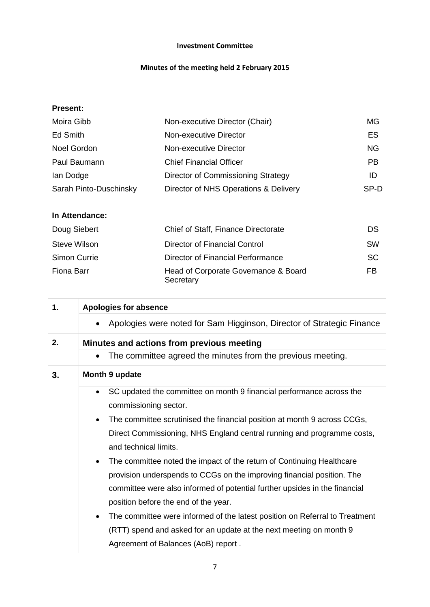### **Investment Committee**

### **Minutes of the meeting held 2 February 2015**

## **Present:**

| Moira Gibb             | Non-executive Director (Chair)        | MG.       |
|------------------------|---------------------------------------|-----------|
| <b>Ed Smith</b>        | Non-executive Director                | ES        |
| Noel Gordon            | Non-executive Director                | <b>NG</b> |
| Paul Baumann           | <b>Chief Financial Officer</b>        | <b>PB</b> |
| lan Dodge              | Director of Commissioning Strategy    | ID        |
| Sarah Pinto-Duschinsky | Director of NHS Operations & Delivery | SP-D      |

| In Attendance: |                                                   |           |
|----------------|---------------------------------------------------|-----------|
| Doug Siebert   | Chief of Staff, Finance Directorate               | <b>DS</b> |
| Steve Wilson   | Director of Financial Control                     | <b>SW</b> |
| Simon Currie   | Director of Financial Performance                 | SC.       |
| Fiona Barr     | Head of Corporate Governance & Board<br>Secretary | FB        |

| 1. | <b>Apologies for absence</b>                                                             |
|----|------------------------------------------------------------------------------------------|
|    | Apologies were noted for Sam Higginson, Director of Strategic Finance                    |
| 2. | Minutes and actions from previous meeting                                                |
|    | The committee agreed the minutes from the previous meeting.                              |
| 3. | Month 9 update                                                                           |
|    | SC updated the committee on month 9 financial performance across the                     |
|    | commissioning sector.                                                                    |
|    | The committee scrutinised the financial position at month 9 across CCGs,<br>$\bullet$    |
|    | Direct Commissioning, NHS England central running and programme costs,                   |
|    | and technical limits.                                                                    |
|    | The committee noted the impact of the return of Continuing Healthcare<br>$\bullet$       |
|    | provision underspends to CCGs on the improving financial position. The                   |
|    | committee were also informed of potential further upsides in the financial               |
|    | position before the end of the year.                                                     |
|    | The committee were informed of the latest position on Referral to Treatment<br>$\bullet$ |
|    | (RTT) spend and asked for an update at the next meeting on month 9                       |
|    | Agreement of Balances (AoB) report.                                                      |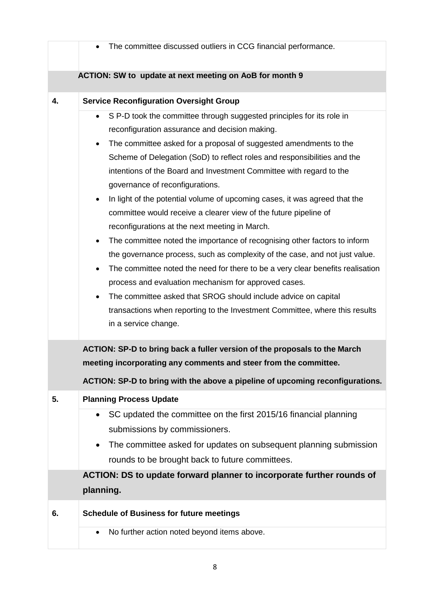|    | The committee discussed outliers in CCG financial performance.                         |
|----|----------------------------------------------------------------------------------------|
|    | ACTION: SW to update at next meeting on AoB for month 9                                |
| 4. | <b>Service Reconfiguration Oversight Group</b>                                         |
|    | S P-D took the committee through suggested principles for its role in                  |
|    | reconfiguration assurance and decision making.                                         |
|    | The committee asked for a proposal of suggested amendments to the<br>٠                 |
|    | Scheme of Delegation (SoD) to reflect roles and responsibilities and the               |
|    | intentions of the Board and Investment Committee with regard to the                    |
|    | governance of reconfigurations.                                                        |
|    | In light of the potential volume of upcoming cases, it was agreed that the             |
|    | committee would receive a clearer view of the future pipeline of                       |
|    | reconfigurations at the next meeting in March.                                         |
|    | The committee noted the importance of recognising other factors to inform<br>$\bullet$ |
|    | the governance process, such as complexity of the case, and not just value.            |
|    | The committee noted the need for there to be a very clear benefits realisation         |
|    | process and evaluation mechanism for approved cases.                                   |
|    | The committee asked that SROG should include advice on capital<br>$\bullet$            |
|    | transactions when reporting to the Investment Committee, where this results            |
|    | in a service change.                                                                   |
|    | ACTION: SP-D to bring back a fuller version of the proposals to the March              |
|    | meeting incorporating any comments and steer from the committee.                       |
|    | ACTION: SP-D to bring with the above a pipeline of upcoming reconfigurations.          |
| 5. | <b>Planning Process Update</b>                                                         |
|    | SC updated the committee on the first 2015/16 financial planning                       |
|    | submissions by commissioners.                                                          |
|    | The committee asked for updates on subsequent planning submission                      |
|    | rounds to be brought back to future committees.                                        |
|    | ACTION: DS to update forward planner to incorporate further rounds of                  |
|    | planning.                                                                              |
| 6. | <b>Schedule of Business for future meetings</b>                                        |
|    | No further action noted beyond items above.                                            |
|    |                                                                                        |